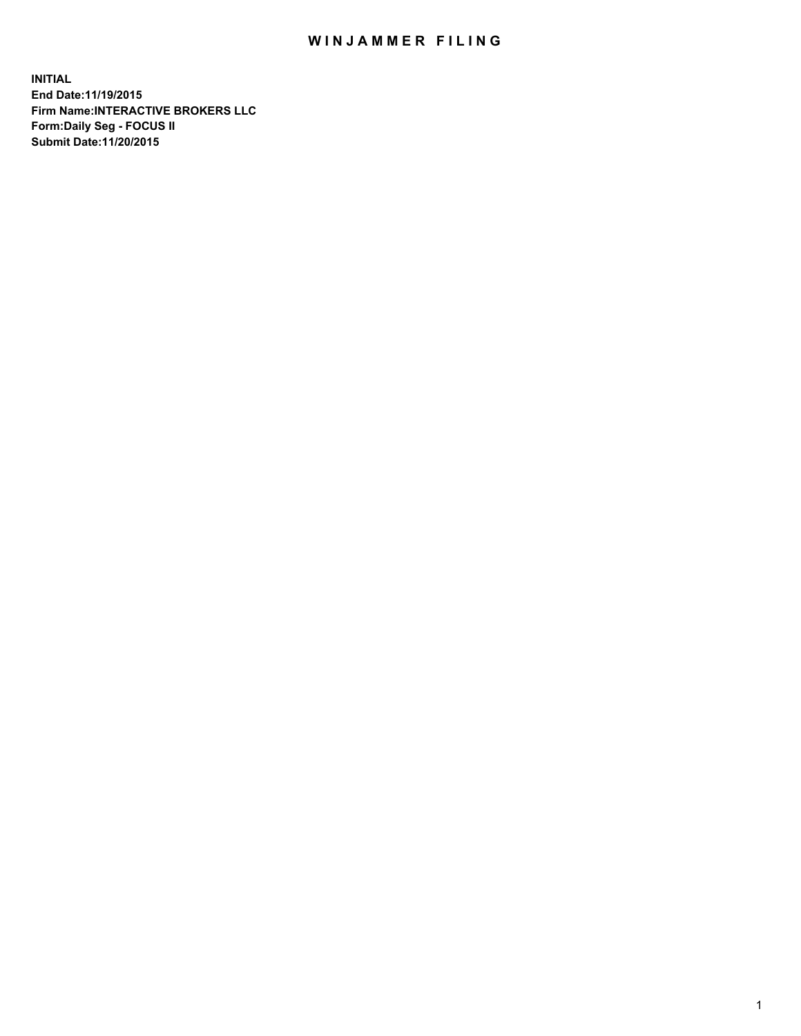## WIN JAMMER FILING

**INITIAL End Date:11/19/2015 Firm Name:INTERACTIVE BROKERS LLC Form:Daily Seg - FOCUS II Submit Date:11/20/2015**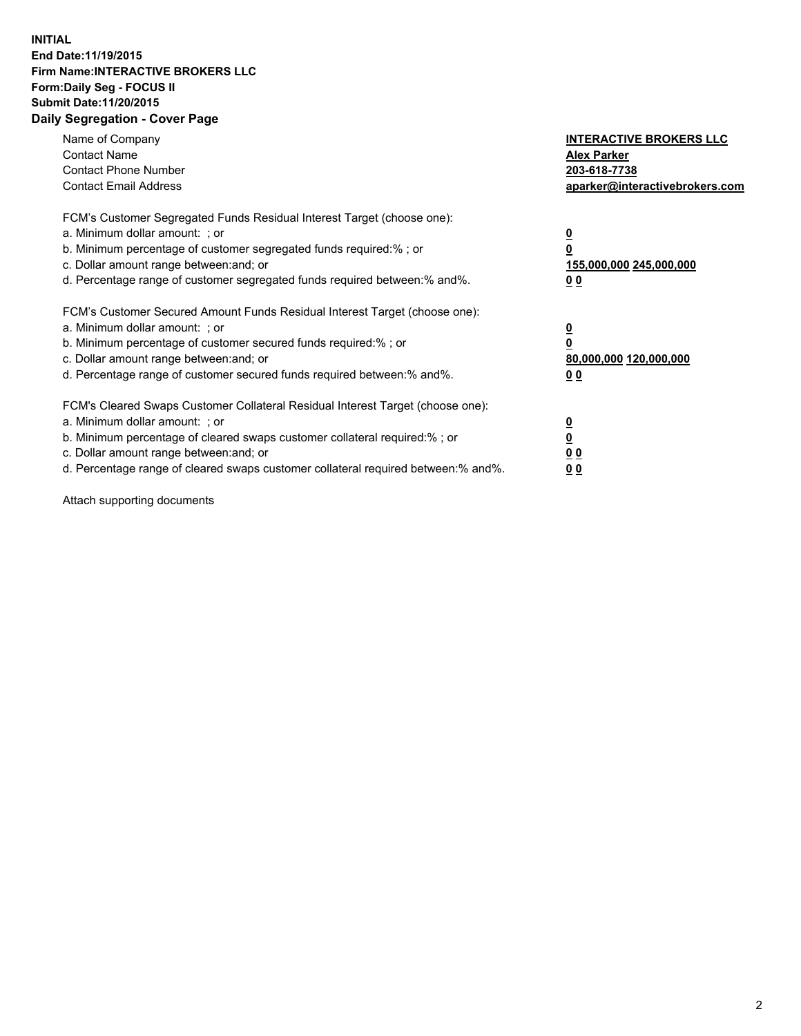## **INITIAL End Date:11/19/2015 Firm Name:INTERACTIVE BROKERS LLC Form:Daily Seg - FOCUS II Submit Date:11/20/2015 Daily Segregation - Cover Page**

| Name of Company<br><b>Contact Name</b><br><b>Contact Phone Number</b><br><b>Contact Email Address</b>                                                                                                                                                                                                                          | <b>INTERACTIVE BROKERS LLC</b><br><b>Alex Parker</b><br>203-618-7738<br>aparker@interactivebrokers.com |
|--------------------------------------------------------------------------------------------------------------------------------------------------------------------------------------------------------------------------------------------------------------------------------------------------------------------------------|--------------------------------------------------------------------------------------------------------|
| FCM's Customer Segregated Funds Residual Interest Target (choose one):<br>a. Minimum dollar amount: ; or<br>b. Minimum percentage of customer segregated funds required:% ; or<br>c. Dollar amount range between: and; or<br>d. Percentage range of customer segregated funds required between:% and%.                         | <u>0</u><br><u>155,000,000 245,000,000</u><br>00                                                       |
| FCM's Customer Secured Amount Funds Residual Interest Target (choose one):<br>a. Minimum dollar amount: ; or<br>b. Minimum percentage of customer secured funds required:%; or<br>c. Dollar amount range between: and; or<br>d. Percentage range of customer secured funds required between: % and %.                          | <u>0</u><br>80,000,000 120,000,000<br>0 <sub>0</sub>                                                   |
| FCM's Cleared Swaps Customer Collateral Residual Interest Target (choose one):<br>a. Minimum dollar amount: ; or<br>b. Minimum percentage of cleared swaps customer collateral required:% ; or<br>c. Dollar amount range between: and; or<br>d. Percentage range of cleared swaps customer collateral required between:% and%. | <u>0</u><br>0 <sub>0</sub><br><u>0 0</u>                                                               |

Attach supporting documents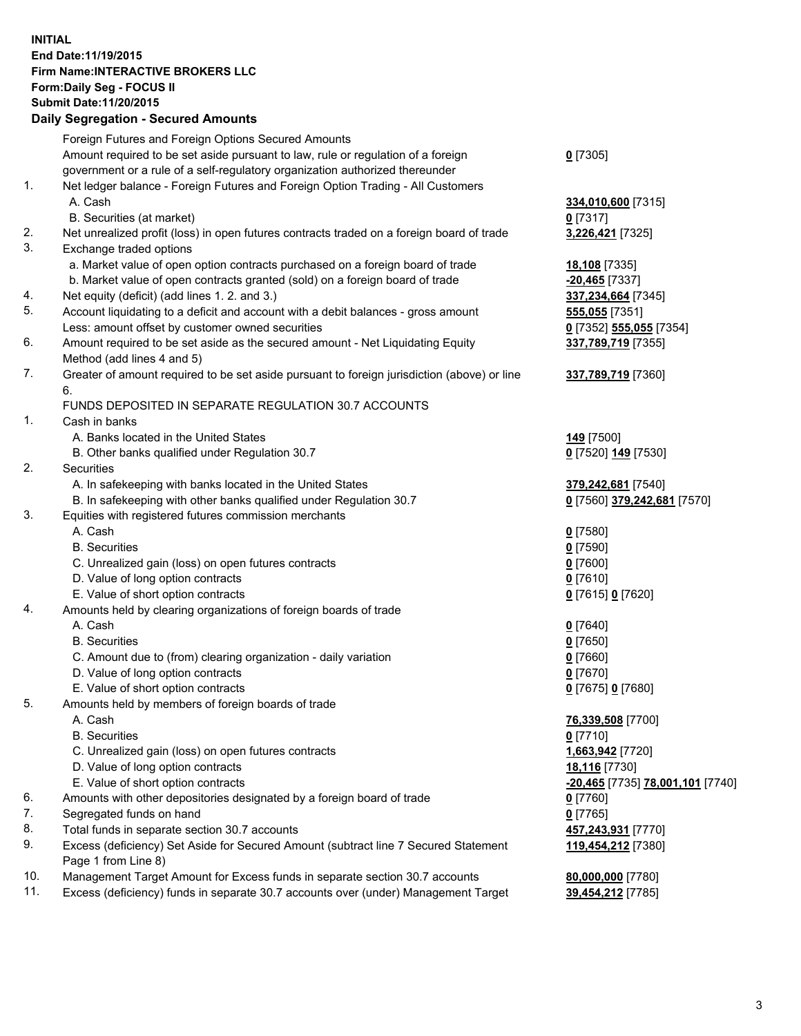## **INITIAL End Date:11/19/2015 Firm Name:INTERACTIVE BROKERS LLC Form:Daily Seg - FOCUS II Submit Date:11/20/2015 Daily Segregation - Secured Amounts**

|     | <b>Dany Ocgregation - Occarea Amounts</b>                                                                  |                                  |
|-----|------------------------------------------------------------------------------------------------------------|----------------------------------|
|     | Foreign Futures and Foreign Options Secured Amounts                                                        |                                  |
|     | Amount required to be set aside pursuant to law, rule or regulation of a foreign                           | $0$ [7305]                       |
|     | government or a rule of a self-regulatory organization authorized thereunder                               |                                  |
| 1.  | Net ledger balance - Foreign Futures and Foreign Option Trading - All Customers                            |                                  |
|     | A. Cash                                                                                                    | 334,010,600 [7315]               |
|     | B. Securities (at market)                                                                                  | 0 [7317]                         |
| 2.  | Net unrealized profit (loss) in open futures contracts traded on a foreign board of trade                  | 3,226,421 [7325]                 |
| 3.  | Exchange traded options                                                                                    |                                  |
|     | a. Market value of open option contracts purchased on a foreign board of trade                             | 18,108 [7335]                    |
|     | b. Market value of open contracts granted (sold) on a foreign board of trade                               | $-20,465$ [7337]                 |
| 4.  | Net equity (deficit) (add lines 1.2. and 3.)                                                               | 337,234,664 [7345]               |
| 5.  | Account liquidating to a deficit and account with a debit balances - gross amount                          | 555,055 [7351]                   |
|     | Less: amount offset by customer owned securities                                                           | 0 [7352] 555,055 [7354]          |
| 6.  | Amount required to be set aside as the secured amount - Net Liquidating Equity                             | 337,789,719 [7355]               |
|     | Method (add lines 4 and 5)                                                                                 |                                  |
| 7.  | Greater of amount required to be set aside pursuant to foreign jurisdiction (above) or line                | 337,789,719 [7360]               |
|     | 6.                                                                                                         |                                  |
|     | FUNDS DEPOSITED IN SEPARATE REGULATION 30.7 ACCOUNTS                                                       |                                  |
| 1.  | Cash in banks                                                                                              |                                  |
|     | A. Banks located in the United States                                                                      | 149 [7500]                       |
|     | B. Other banks qualified under Regulation 30.7                                                             | 0 [7520] 149 [7530]              |
| 2.  | Securities                                                                                                 |                                  |
|     | A. In safekeeping with banks located in the United States                                                  | 379,242,681 [7540]               |
|     | B. In safekeeping with other banks qualified under Regulation 30.7                                         | 0 [7560] 379,242,681 [7570]      |
| 3.  | Equities with registered futures commission merchants                                                      |                                  |
|     | A. Cash                                                                                                    | $0$ [7580]                       |
|     | <b>B.</b> Securities                                                                                       | $0$ [7590]                       |
|     | C. Unrealized gain (loss) on open futures contracts                                                        | $0$ [7600]                       |
|     | D. Value of long option contracts                                                                          | $0$ [7610]                       |
|     | E. Value of short option contracts                                                                         | 0 [7615] 0 [7620]                |
| 4.  | Amounts held by clearing organizations of foreign boards of trade                                          |                                  |
|     | A. Cash                                                                                                    | $0$ [7640]                       |
|     | <b>B.</b> Securities                                                                                       | $0$ [7650]                       |
|     | C. Amount due to (from) clearing organization - daily variation                                            | $0$ [7660]                       |
|     | D. Value of long option contracts                                                                          | $0$ [7670]                       |
|     | E. Value of short option contracts                                                                         | 0 [7675] 0 [7680]                |
| 5.  | Amounts held by members of foreign boards of trade                                                         |                                  |
|     | A. Cash                                                                                                    | 76,339,508 [7700]                |
|     | <b>B.</b> Securities                                                                                       | 0 [7710]                         |
|     | C. Unrealized gain (loss) on open futures contracts                                                        | 1,663,942 [7720]                 |
|     | D. Value of long option contracts                                                                          | 18,116 [7730]                    |
|     | E. Value of short option contracts                                                                         | -20,465 [7735] 78,001,101 [7740] |
| 6.  | Amounts with other depositories designated by a foreign board of trade                                     | 0 [7760]                         |
| 7.  | Segregated funds on hand                                                                                   | $0$ [7765]                       |
| 8.  | Total funds in separate section 30.7 accounts                                                              | 457,243,931 [7770]               |
| 9.  | Excess (deficiency) Set Aside for Secured Amount (subtract line 7 Secured Statement<br>Page 1 from Line 8) | 119,454,212 [7380]               |
| 10. | Management Target Amount for Excess funds in separate section 30.7 accounts                                | 80,000,000 [7780]                |
| 11. | Excess (deficiency) funds in separate 30.7 accounts over (under) Management Target                         | 39,454,212 [7785]                |
|     |                                                                                                            |                                  |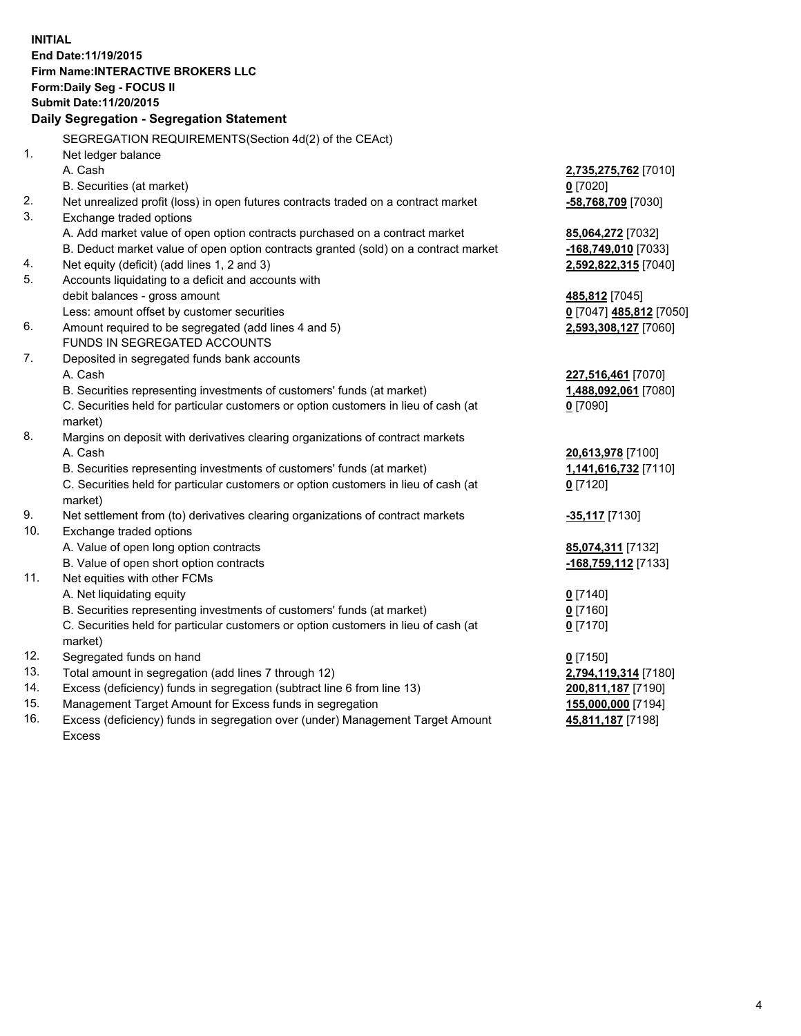**INITIAL End Date:11/19/2015 Firm Name:INTERACTIVE BROKERS LLC Form:Daily Seg - FOCUS II Submit Date:11/20/2015 Daily Segregation - Segregation Statement** SEGREGATION REQUIREMENTS(Section 4d(2) of the CEAct) 1. Net ledger balance A. Cash **2,735,275,762** [7010] B. Securities (at market) **0** [7020] 2. Net unrealized profit (loss) in open futures contracts traded on a contract market **-58,768,709** [7030] 3. Exchange traded options A. Add market value of open option contracts purchased on a contract market **85,064,272** [7032] B. Deduct market value of open option contracts granted (sold) on a contract market **-168,749,010** [7033] 4. Net equity (deficit) (add lines 1, 2 and 3) **2,592,822,315** [7040] 5. Accounts liquidating to a deficit and accounts with debit balances - gross amount **485,812** [7045] Less: amount offset by customer securities **0** [7047] **485,812** [7050] 6. Amount required to be segregated (add lines 4 and 5) **2,593,308,127** [7060] FUNDS IN SEGREGATED ACCOUNTS 7. Deposited in segregated funds bank accounts A. Cash **227,516,461** [7070] B. Securities representing investments of customers' funds (at market) **1,488,092,061** [7080] C. Securities held for particular customers or option customers in lieu of cash (at market) **0** [7090] 8. Margins on deposit with derivatives clearing organizations of contract markets A. Cash **20,613,978** [7100] B. Securities representing investments of customers' funds (at market) **1,141,616,732** [7110] C. Securities held for particular customers or option customers in lieu of cash (at market) **0** [7120] 9. Net settlement from (to) derivatives clearing organizations of contract markets **-35,117** [7130] 10. Exchange traded options A. Value of open long option contracts **85,074,311** [7132] B. Value of open short option contracts **-168,759,112** [7133] 11. Net equities with other FCMs A. Net liquidating equity **0** [7140] B. Securities representing investments of customers' funds (at market) **0** [7160] C. Securities held for particular customers or option customers in lieu of cash (at market) **0** [7170] 12. Segregated funds on hand **0** [7150] 13. Total amount in segregation (add lines 7 through 12) **2,794,119,314** [7180] 14. Excess (deficiency) funds in segregation (subtract line 6 from line 13) **200,811,187** [7190] 15. Management Target Amount for Excess funds in segregation **155,000,000** [7194] **45,811,187** [7198]

16. Excess (deficiency) funds in segregation over (under) Management Target Amount Excess